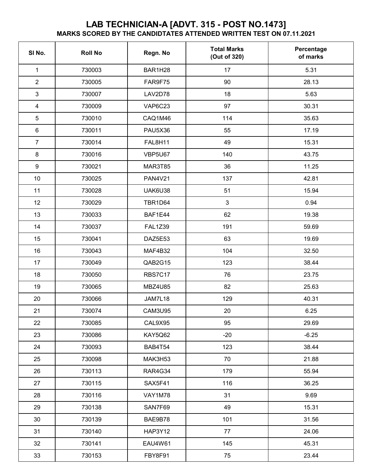## **LAB TECHNICIAN-A [ADVT. 315 - POST NO.1473] MARKS SCORED BY THE CANDIDTATES ATTENDED WRITTEN TEST ON 07.11.2021**

| SI No.                  | <b>Roll No</b> | Regn. No       | <b>Total Marks</b><br>(Out of 320) | Percentage<br>of marks |
|-------------------------|----------------|----------------|------------------------------------|------------------------|
| $\mathbf{1}$            | 730003         | BAR1H28        | 17                                 | 5.31                   |
| $\overline{2}$          | 730005         | FAR9F75        | 90                                 | 28.13                  |
| 3                       | 730007         | LAV2D78        | 18                                 | 5.63                   |
| $\overline{\mathbf{4}}$ | 730009         | VAP6C23        | 97                                 | 30.31                  |
| 5                       | 730010         | CAQ1M46        | 114                                | 35.63                  |
| $\,6\,$                 | 730011         | <b>PAU5X36</b> | 55                                 | 17.19                  |
| $\overline{7}$          | 730014         | FAL8H11        | 49                                 | 15.31                  |
| $\,8\,$                 | 730016         | VBP5U67        | 140                                | 43.75                  |
| $\boldsymbol{9}$        | 730021         | MAR3T85        | 36                                 | 11.25                  |
| 10                      | 730025         | <b>PAN4V21</b> | 137                                | 42.81                  |
| 11                      | 730028         | UAK6U38        | 51                                 | 15.94                  |
| 12                      | 730029         | <b>TBR1D64</b> | 3                                  | 0.94                   |
| 13                      | 730033         | BAF1E44        | 62                                 | 19.38                  |
| 14                      | 730037         | <b>FAL1Z39</b> | 191                                | 59.69                  |
| 15                      | 730041         | DAZ5E53        | 63                                 | 19.69                  |
| 16                      | 730043         | MAF4B32        | 104                                | 32.50                  |
| 17                      | 730049         | QAB2G15        | 123                                | 38.44                  |
| 18                      | 730050         | <b>RBS7C17</b> | 76                                 | 23.75                  |
| 19                      | 730065         | <b>MBZ4U85</b> | 82                                 | 25.63                  |
| 20                      | 730066         | JAM7L18        | 129                                | 40.31                  |
| 21                      | 730074         | CAM3U95        | 20                                 | 6.25                   |
| 22                      | 730085         | CAL9X95        | 95                                 | 29.69                  |
| 23                      | 730086         | KAY5Q62        | $-20$                              | $-6.25$                |
| 24                      | 730093         | BAB4T54        | 123                                | 38.44                  |
| 25                      | 730098         | MAK3H53        | 70                                 | 21.88                  |
| 26                      | 730113         | RAR4G34        | 179                                | 55.94                  |
| 27                      | 730115         | SAX5F41        | 116                                | 36.25                  |
| 28                      | 730116         | VAY1M78        | 31                                 | 9.69                   |
| 29                      | 730138         | SAN7F69        | 49                                 | 15.31                  |
| 30                      | 730139         | BAE9B78        | 101                                | 31.56                  |
| 31                      | 730140         | <b>HAP3Y12</b> | 77                                 | 24.06                  |
| 32                      | 730141         | EAU4W61        | 145                                | 45.31                  |
| 33                      | 730153         | FBY8F91        | 75                                 | 23.44                  |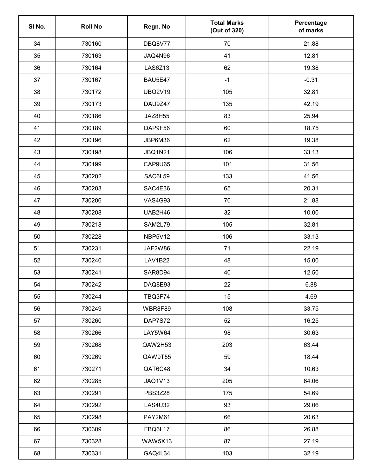| SI No. | <b>Roll No</b> | Regn. No       | <b>Total Marks</b><br>(Out of 320) | Percentage<br>of marks |
|--------|----------------|----------------|------------------------------------|------------------------|
| 34     | 730160         | DBQ8V77        | 70                                 | 21.88                  |
| 35     | 730163         | JAQ4N96        | 41                                 | 12.81                  |
| 36     | 730164         | <b>LAS6Z13</b> | 62                                 | 19.38                  |
| 37     | 730167         | BAU5E47        | $-1$                               | $-0.31$                |
| 38     | 730172         | <b>UBQ2V19</b> | 105                                | 32.81                  |
| 39     | 730173         | DAU9Z47        | 135                                | 42.19                  |
| 40     | 730186         | JAZ8H55        | 83                                 | 25.94                  |
| 41     | 730189         | DAP9F56        | 60                                 | 18.75                  |
| 42     | 730196         | JBP6M36        | 62                                 | 19.38                  |
| 43     | 730198         | <b>JBQ1N21</b> | 106                                | 33.13                  |
| 44     | 730199         | CAP9U65        | 101                                | 31.56                  |
| 45     | 730202         | SAC6L59        | 133                                | 41.56                  |
| 46     | 730203         | SAC4E36        | 65                                 | 20.31                  |
| 47     | 730206         | <b>VAS4G93</b> | 70                                 | 21.88                  |
| 48     | 730208         | UAB2H46        | 32                                 | 10.00                  |
| 49     | 730218         | <b>SAM2L79</b> | 105                                | 32.81                  |
| 50     | 730228         | NBP5V12        | 106                                | 33.13                  |
| 51     | 730231         | JAF2W86        | 71                                 | 22.19                  |
| 52     | 730240         | <b>LAV1B22</b> | 48                                 | 15.00                  |
| 53     | 730241         | SAR8D94        | 40                                 | 12.50                  |
| 54     | 730242         | DAQ8E93        | 22                                 | 6.88                   |
| 55     | 730244         | TBQ3F74        | 15                                 | 4.69                   |
| 56     | 730249         | WBR8F89        | 108                                | 33.75                  |
| 57     | 730260         | <b>DAP7S72</b> | 52                                 | 16.25                  |
| 58     | 730266         | LAY5W64        | 98                                 | 30.63                  |
| 59     | 730268         | QAW2H53        | 203                                | 63.44                  |
| 60     | 730269         | QAW9T55        | 59                                 | 18.44                  |
| 61     | 730271         | QAT6C48        | 34                                 | 10.63                  |
| 62     | 730285         | <b>JAQ1V13</b> | 205                                | 64.06                  |
| 63     | 730291         | PBS3Z28        | 175                                | 54.69                  |
| 64     | 730292         | <b>LAS4U32</b> | 93                                 | 29.06                  |
| 65     | 730298         | <b>PAY2M61</b> | 66                                 | 20.63                  |
| 66     | 730309         | FBQ6L17        | 86                                 | 26.88                  |
| 67     | 730328         | WAW5X13        | 87                                 | 27.19                  |
| 68     | 730331         | GAQ4L34        | 103                                | 32.19                  |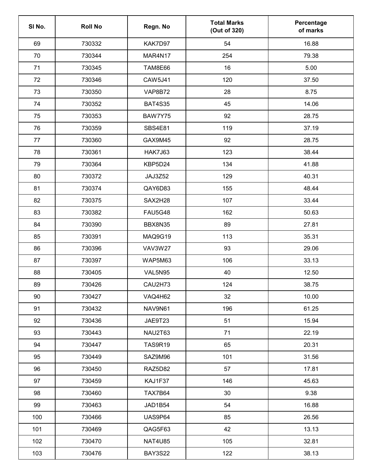| SI No. | <b>Roll No</b> | Regn. No       | <b>Total Marks</b><br>(Out of 320) | Percentage<br>of marks |
|--------|----------------|----------------|------------------------------------|------------------------|
| 69     | 730332         | KAK7D97        | 54                                 | 16.88                  |
| 70     | 730344         | MAR4N17        | 254                                | 79.38                  |
| 71     | 730345         | TAM8E66        | 16                                 | 5.00                   |
| 72     | 730346         | CAW5J41        | 120                                | 37.50                  |
| 73     | 730350         | VAP8B72        | 28                                 | 8.75                   |
| 74     | 730352         | <b>BAT4S35</b> | 45                                 | 14.06                  |
| 75     | 730353         | BAW7Y75        | 92                                 | 28.75                  |
| 76     | 730359         | SBS4E81        | 119                                | 37.19                  |
| 77     | 730360         | GAX9M45        | 92                                 | 28.75                  |
| 78     | 730361         | <b>HAK7J63</b> | 123                                | 38.44                  |
| 79     | 730364         | KBP5D24        | 134                                | 41.88                  |
| 80     | 730372         | JAJ3Z52        | 129                                | 40.31                  |
| 81     | 730374         | QAY6D83        | 155                                | 48.44                  |
| 82     | 730375         | SAX2H28        | 107                                | 33.44                  |
| 83     | 730382         | <b>FAU5G48</b> | 162                                | 50.63                  |
| 84     | 730390         | BBX8N35        | 89                                 | 27.81                  |
| 85     | 730391         | MAQ9G19        | 113                                | 35.31                  |
| 86     | 730396         | <b>VAV3W27</b> | 93                                 | 29.06                  |
| 87     | 730397         | WAP5M63        | 106                                | 33.13                  |
| 88     | 730405         | VAL5N95        | 40                                 | 12.50                  |
| 89     | 730426         | CAU2H73        | 124                                | 38.75                  |
| 90     | 730427         | VAQ4H62        | 32                                 | 10.00                  |
| 91     | 730432         | NAV9N61        | 196                                | 61.25                  |
| 92     | 730436         | JAE9T23        | 51                                 | 15.94                  |
| 93     | 730443         | NAU2T63        | 71                                 | 22.19                  |
| 94     | 730447         | <b>TAS9R19</b> | 65                                 | 20.31                  |
| 95     | 730449         | SAZ9M96        | 101                                | 31.56                  |
| 96     | 730450         | RAZ5D82        | 57                                 | 17.81                  |
| 97     | 730459         | KAJ1F37        | 146                                | 45.63                  |
| 98     | 730460         | TAX7B64        | 30                                 | 9.38                   |
| 99     | 730463         | JAD1B54        | 54                                 | 16.88                  |
| 100    | 730466         | UAS9P64        | 85                                 | 26.56                  |
| 101    | 730469         | QAG5F63        | 42                                 | 13.13                  |
| 102    | 730470         | <b>NAT4U85</b> | 105                                | 32.81                  |
| 103    | 730476         | <b>BAY3S22</b> | 122                                | 38.13                  |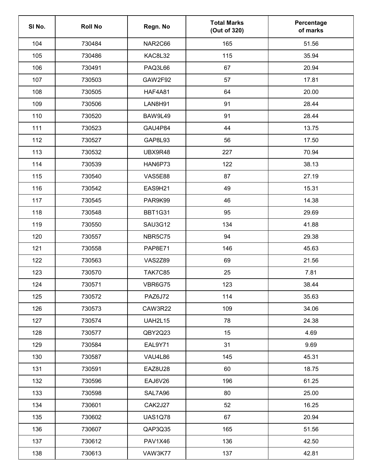| SI No. | <b>Roll No</b> | Regn. No       | <b>Total Marks</b><br>(Out of 320) | Percentage<br>of marks |
|--------|----------------|----------------|------------------------------------|------------------------|
| 104    | 730484         | NAR2C66        | 165                                | 51.56                  |
| 105    | 730486         | <b>KAC8L32</b> | 115                                | 35.94                  |
| 106    | 730491         | PAQ3L66        | 67                                 | 20.94                  |
| 107    | 730503         | GAW2F92        | 57                                 | 17.81                  |
| 108    | 730505         | <b>HAF4A81</b> | 64                                 | 20.00                  |
| 109    | 730506         | LAN8H91        | 91                                 | 28.44                  |
| 110    | 730520         | BAW9L49        | 91                                 | 28.44                  |
| 111    | 730523         | GAU4P84        | 44                                 | 13.75                  |
| 112    | 730527         | GAP8L93        | 56                                 | 17.50                  |
| 113    | 730532         | UBX9R48        | 227                                | 70.94                  |
| 114    | 730539         | HAN6P73        | 122                                | 38.13                  |
| 115    | 730540         | <b>VAS5E88</b> | 87                                 | 27.19                  |
| 116    | 730542         | EAS9H21        | 49                                 | 15.31                  |
| 117    | 730545         | PAR9K99        | 46                                 | 14.38                  |
| 118    | 730548         | <b>BBT1G31</b> | 95                                 | 29.69                  |
| 119    | 730550         | <b>SAU3G12</b> | 134                                | 41.88                  |
| 120    | 730557         | <b>NBR5C75</b> | 94                                 | 29.38                  |
| 121    | 730558         | <b>PAP8E71</b> | 146                                | 45.63                  |
| 122    | 730563         | <b>VAS2Z89</b> | 69                                 | 21.56                  |
| 123    | 730570         | <b>TAK7C85</b> | 25                                 | 7.81                   |
| 124    | 730571         | <b>VBR6G75</b> | 123                                | 38.44                  |
| 125    | 730572         | <b>PAZ6J72</b> | 114                                | 35.63                  |
| 126    | 730573         | CAW3R22        | 109                                | 34.06                  |
| 127    | 730574         | <b>UAH2L15</b> | 78                                 | 24.38                  |
| 128    | 730577         | QBY2Q23        | 15                                 | 4.69                   |
| 129    | 730584         | EAL9Y71        | 31                                 | 9.69                   |
| 130    | 730587         | VAU4L86        | 145                                | 45.31                  |
| 131    | 730591         | EAZ8U28        | 60                                 | 18.75                  |
| 132    | 730596         | EAJ6V26        | 196                                | 61.25                  |
| 133    | 730598         | SAL7A96        | 80                                 | 25.00                  |
| 134    | 730601         | CAK2J27        | 52                                 | 16.25                  |
| 135    | 730602         | <b>UAS1Q78</b> | 67                                 | 20.94                  |
| 136    | 730607         | QAP3Q35        | 165                                | 51.56                  |
| 137    | 730612         | PAV1X46        | 136                                | 42.50                  |
| 138    | 730613         | VAW3K77        | 137                                | 42.81                  |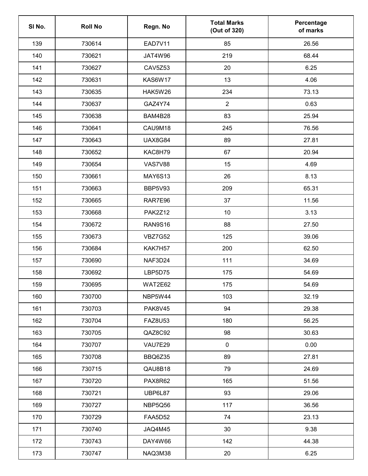| SI No. | <b>Roll No</b> | Regn. No       | <b>Total Marks</b><br>(Out of 320) | Percentage<br>of marks |
|--------|----------------|----------------|------------------------------------|------------------------|
| 139    | 730614         | EAD7V11        | 85                                 | 26.56                  |
| 140    | 730621         | JAT4W96        | 219                                | 68.44                  |
| 141    | 730627         | CAV5Z53        | 20                                 | 6.25                   |
| 142    | 730631         | KAS6W17        | 13                                 | 4.06                   |
| 143    | 730635         | HAK5W26        | 234                                | 73.13                  |
| 144    | 730637         | GAZ4Y74        | $\overline{2}$                     | 0.63                   |
| 145    | 730638         | BAM4B28        | 83                                 | 25.94                  |
| 146    | 730641         | CAU9M18        | 245                                | 76.56                  |
| 147    | 730643         | <b>UAX8G84</b> | 89                                 | 27.81                  |
| 148    | 730652         | KAC8H79        | 67                                 | 20.94                  |
| 149    | 730654         | <b>VAS7V88</b> | 15                                 | 4.69                   |
| 150    | 730661         | <b>MAY6S13</b> | 26                                 | 8.13                   |
| 151    | 730663         | BBP5V93        | 209                                | 65.31                  |
| 152    | 730665         | RAR7E96        | 37                                 | 11.56                  |
| 153    | 730668         | <b>PAK2Z12</b> | 10                                 | 3.13                   |
| 154    | 730672         | <b>RAN9S16</b> | 88                                 | 27.50                  |
| 155    | 730673         | <b>VBZ7G52</b> | 125                                | 39.06                  |
| 156    | 730684         | KAK7H57        | 200                                | 62.50                  |
| 157    | 730690         | NAF3D24        | 111                                | 34.69                  |
| 158    | 730692         | LBP5D75        | 175                                | 54.69                  |
| 159    | 730695         | WAT2E62        | 175                                | 54.69                  |
| 160    | 730700         | NBP5W44        | 103                                | 32.19                  |
| 161    | 730703         | <b>PAK8V45</b> | 94                                 | 29.38                  |
| 162    | 730704         | <b>FAZ8U53</b> | 180                                | 56.25                  |
| 163    | 730705         | QAZ8C92        | 98                                 | 30.63                  |
| 164    | 730707         | VAU7E29        | $\pmb{0}$                          | 0.00                   |
| 165    | 730708         | BBQ6Z35        | 89                                 | 27.81                  |
| 166    | 730715         | QAU8B18        | 79                                 | 24.69                  |
| 167    | 730720         | PAX8R62        | 165                                | 51.56                  |
| 168    | 730721         | UBP6L87        | 93                                 | 29.06                  |
| 169    | 730727         | NBP5Q56        | 117                                | 36.56                  |
| 170    | 730729         | <b>FAA5D52</b> | 74                                 | 23.13                  |
| 171    | 730740         | JAQ4M45        | 30                                 | 9.38                   |
| 172    | 730743         | DAY4W66        | 142                                | 44.38                  |
| 173    | 730747         | NAQ3M38        | 20                                 | 6.25                   |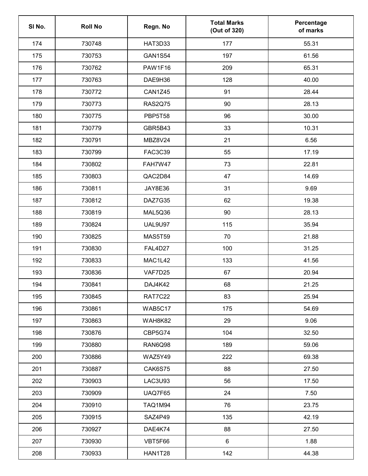| SI No. | <b>Roll No</b> | Regn. No       | <b>Total Marks</b><br>(Out of 320) | Percentage<br>of marks |
|--------|----------------|----------------|------------------------------------|------------------------|
| 174    | 730748         | HAT3D33        | 177                                | 55.31                  |
| 175    | 730753         | <b>GAN1S54</b> | 197                                | 61.56                  |
| 176    | 730762         | PAW1F16        | 209                                | 65.31                  |
| 177    | 730763         | DAE9H36        | 128                                | 40.00                  |
| 178    | 730772         | CAN1Z45        | 91                                 | 28.44                  |
| 179    | 730773         | <b>RAS2Q75</b> | 90                                 | 28.13                  |
| 180    | 730775         | PBP5T58        | 96                                 | 30.00                  |
| 181    | 730779         | GBR5B43        | 33                                 | 10.31                  |
| 182    | 730791         | MBZ8V24        | 21                                 | 6.56                   |
| 183    | 730799         | FAC3C39        | 55                                 | 17.19                  |
| 184    | 730802         | FAH7W47        | 73                                 | 22.81                  |
| 185    | 730803         | QAC2D84        | 47                                 | 14.69                  |
| 186    | 730811         | JAY8E36        | 31                                 | 9.69                   |
| 187    | 730812         | DAZ7G35        | 62                                 | 19.38                  |
| 188    | 730819         | MAL5Q36        | 90                                 | 28.13                  |
| 189    | 730824         | <b>UAL9U97</b> | 115                                | 35.94                  |
| 190    | 730825         | <b>MAS5T59</b> | 70                                 | 21.88                  |
| 191    | 730830         | FAL4D27        | 100                                | 31.25                  |
| 192    | 730833         | MAC1L42        | 133                                | 41.56                  |
| 193    | 730836         | VAF7D25        | 67                                 | 20.94                  |
| 194    | 730841         | DAJ4K42        | 68                                 | 21.25                  |
| 195    | 730845         | RAT7C22        | 83                                 | 25.94                  |
| 196    | 730861         | <b>WAB5C17</b> | 175                                | 54.69                  |
| 197    | 730863         | WAH8K82        | 29                                 | 9.06                   |
| 198    | 730876         | CBP5G74        | 104                                | 32.50                  |
| 199    | 730880         | RAN6Q98        | 189                                | 59.06                  |
| 200    | 730886         | WAZ5Y49        | 222                                | 69.38                  |
| 201    | 730887         | CAK6S75        | 88                                 | 27.50                  |
| 202    | 730903         | <b>LAC3U93</b> | 56                                 | 17.50                  |
| 203    | 730909         | UAQ7F65        | 24                                 | 7.50                   |
| 204    | 730910         | <b>TAQ1M94</b> | 76                                 | 23.75                  |
| 205    | 730915         | SAZ4P49        | 135                                | 42.19                  |
| 206    | 730927         | DAE4K74        | 88                                 | 27.50                  |
| 207    | 730930         | VBT5F66        | 6                                  | 1.88                   |
| 208    | 730933         | HAN1T28        | 142                                | 44.38                  |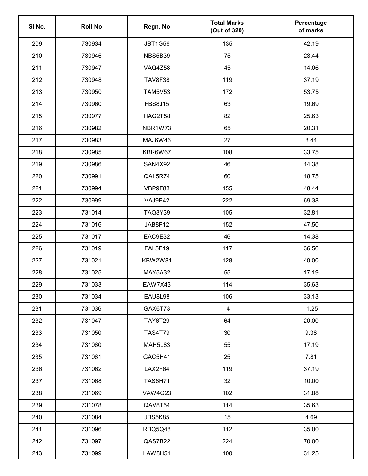| SI No. | <b>Roll No</b> | Regn. No       | <b>Total Marks</b><br>(Out of 320) | Percentage<br>of marks |
|--------|----------------|----------------|------------------------------------|------------------------|
| 209    | 730934         | <b>JBT1G56</b> | 135                                | 42.19                  |
| 210    | 730946         | NBS5B39        | 75                                 | 23.44                  |
| 211    | 730947         | VAQ4Z58        | 45                                 | 14.06                  |
| 212    | 730948         | <b>TAV8F38</b> | 119                                | 37.19                  |
| 213    | 730950         | <b>TAM5V53</b> | 172                                | 53.75                  |
| 214    | 730960         | <b>FBS8J15</b> | 63                                 | 19.69                  |
| 215    | 730977         | <b>HAG2T58</b> | 82                                 | 25.63                  |
| 216    | 730982         | NBR1W73        | 65                                 | 20.31                  |
| 217    | 730983         | MAJ6W46        | 27                                 | 8.44                   |
| 218    | 730985         | KBR6W67        | 108                                | 33.75                  |
| 219    | 730986         | SAN4X92        | 46                                 | 14.38                  |
| 220    | 730991         | QAL5R74        | 60                                 | 18.75                  |
| 221    | 730994         | VBP9F83        | 155                                | 48.44                  |
| 222    | 730999         | VAJ9E42        | 222                                | 69.38                  |
| 223    | 731014         | <b>TAQ3Y39</b> | 105                                | 32.81                  |
| 224    | 731016         | JAB8F12        | 152                                | 47.50                  |
| 225    | 731017         | EAC9E32        | 46                                 | 14.38                  |
| 226    | 731019         | <b>FAL5E19</b> | 117                                | 36.56                  |
| 227    | 731021         | <b>KBW2W81</b> | 128                                | 40.00                  |
| 228    | 731025         | MAY5A32        | 55                                 | 17.19                  |
| 229    | 731033         | EAW7X43        | 114                                | 35.63                  |
| 230    | 731034         | EAU8L98        | 106                                | 33.13                  |
| 231    | 731036         | GAX6T73        | $-4$                               | $-1.25$                |
| 232    | 731047         | <b>TAY6T29</b> | 64                                 | 20.00                  |
| 233    | 731050         | <b>TAS4T79</b> | 30                                 | 9.38                   |
| 234    | 731060         | MAH5L83        | 55                                 | 17.19                  |
| 235    | 731061         | GAC5H41        | 25                                 | 7.81                   |
| 236    | 731062         | LAX2F64        | 119                                | 37.19                  |
| 237    | 731068         | <b>TAS6H71</b> | 32                                 | 10.00                  |
| 238    | 731069         | <b>VAW4G23</b> | 102                                | 31.88                  |
| 239    | 731078         | QAV8T54        | 114                                | 35.63                  |
| 240    | 731084         | JBS5K85        | 15                                 | 4.69                   |
| 241    | 731096         | RBQ5Q48        | 112                                | 35.00                  |
| 242    | 731097         | QAS7B22        | 224                                | 70.00                  |
| 243    | 731099         | <b>LAW8H51</b> | 100                                | 31.25                  |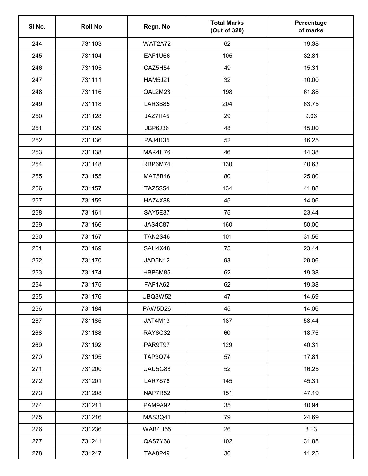| SI <sub>No.</sub> | <b>Roll No</b> | Regn. No       | <b>Total Marks</b><br>(Out of 320) | Percentage<br>of marks |
|-------------------|----------------|----------------|------------------------------------|------------------------|
| 244               | 731103         | <b>WAT2A72</b> | 62                                 | 19.38                  |
| 245               | 731104         | EAF1U66        | 105                                | 32.81                  |
| 246               | 731105         | CAZ5H54        | 49                                 | 15.31                  |
| 247               | 731111         | <b>HAM5J21</b> | 32                                 | 10.00                  |
| 248               | 731116         | QAL2M23        | 198                                | 61.88                  |
| 249               | 731118         | LAR3B85        | 204                                | 63.75                  |
| 250               | 731128         | JAZ7H45        | 29                                 | 9.06                   |
| 251               | 731129         | <b>JBP6J36</b> | 48                                 | 15.00                  |
| 252               | 731136         | <b>PAJ4R35</b> | 52                                 | 16.25                  |
| 253               | 731138         | MAK4H76        | 46                                 | 14.38                  |
| 254               | 731148         | RBP6M74        | 130                                | 40.63                  |
| 255               | 731155         | MAT5B46        | 80                                 | 25.00                  |
| 256               | 731157         | <b>TAZ5S54</b> | 134                                | 41.88                  |
| 257               | 731159         | HAZ4X88        | 45                                 | 14.06                  |
| 258               | 731161         | SAY5E37        | 75                                 | 23.44                  |
| 259               | 731166         | <b>JAS4C87</b> | 160                                | 50.00                  |
| 260               | 731167         | <b>TAN2S46</b> | 101                                | 31.56                  |
| 261               | 731169         | SAH4X48        | 75                                 | 23.44                  |
| 262               | 731170         | JAD5N12        | 93                                 | 29.06                  |
| 263               | 731174         | HBP6M85        | 62                                 | 19.38                  |
| 264               | 731175         | <b>FAF1A62</b> | 62                                 | 19.38                  |
| 265               | 731176         | <b>UBQ3W52</b> | 47                                 | 14.69                  |
| 266               | 731184         | PAW5D26        | 45                                 | 14.06                  |
| 267               | 731185         | JAT4M13        | 187                                | 58.44                  |
| 268               | 731188         | RAY6G32        | 60                                 | 18.75                  |
| 269               | 731192         | PAR9T97        | 129                                | 40.31                  |
| 270               | 731195         | <b>TAP3Q74</b> | 57                                 | 17.81                  |
| 271               | 731200         | <b>UAU5G88</b> | 52                                 | 16.25                  |
| 272               | 731201         | <b>LAR7S78</b> | 145                                | 45.31                  |
| 273               | 731208         | NAP7R52        | 151                                | 47.19                  |
| 274               | 731211         | PAM9A92        | 35                                 | 10.94                  |
| 275               | 731216         | <b>MAS3Q41</b> | 79                                 | 24.69                  |
| 276               | 731236         | WAB4H55        | 26                                 | 8.13                   |
| 277               | 731241         | QAS7Y68        | 102                                | 31.88                  |
| 278               | 731247         | <b>TAA8P49</b> | 36                                 | 11.25                  |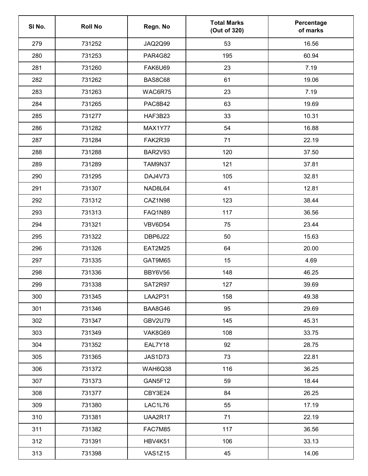| SI No. | <b>Roll No</b> | Regn. No       | <b>Total Marks</b><br>(Out of 320) | Percentage<br>of marks |
|--------|----------------|----------------|------------------------------------|------------------------|
| 279    | 731252         | <b>JAQ2Q99</b> | 53                                 | 16.56                  |
| 280    | 731253         | <b>PAR4G82</b> | 195                                | 60.94                  |
| 281    | 731260         | FAK6U69        | 23                                 | 7.19                   |
| 282    | 731262         | <b>BAS8C68</b> | 61                                 | 19.06                  |
| 283    | 731263         | WAC6R75        | 23                                 | 7.19                   |
| 284    | 731265         | PAC8B42        | 63                                 | 19.69                  |
| 285    | 731277         | HAF3B23        | 33                                 | 10.31                  |
| 286    | 731282         | MAX1Y77        | 54                                 | 16.88                  |
| 287    | 731284         | FAK2R39        | 71                                 | 22.19                  |
| 288    | 731288         | <b>BAR2V93</b> | 120                                | 37.50                  |
| 289    | 731289         | <b>TAM9N37</b> | 121                                | 37.81                  |
| 290    | 731295         | DAJ4V73        | 105                                | 32.81                  |
| 291    | 731307         | NAD8L64        | 41                                 | 12.81                  |
| 292    | 731312         | CAZ1N98        | 123                                | 38.44                  |
| 293    | 731313         | <b>FAQ1N89</b> | 117                                | 36.56                  |
| 294    | 731321         | VBV6D54        | 75                                 | 23.44                  |
| 295    | 731322         | DBP6J22        | 50                                 | 15.63                  |
| 296    | 731326         | <b>EAT2M25</b> | 64                                 | 20.00                  |
| 297    | 731335         | GAT9M65        | 15                                 | 4.69                   |
| 298    | 731336         | BBY6V56        | 148                                | 46.25                  |
| 299    | 731338         | SAT2R97        | 127                                | 39.69                  |
| 300    | 731345         | LAA2P31        | 158                                | 49.38                  |
| 301    | 731346         | BAA8G46        | 95                                 | 29.69                  |
| 302    | 731347         | GBV2U79        | 145                                | 45.31                  |
| 303    | 731349         | VAK8G69        | 108                                | 33.75                  |
| 304    | 731352         | EAL7Y18        | 92                                 | 28.75                  |
| 305    | 731365         | JAS1D73        | 73                                 | 22.81                  |
| 306    | 731372         | WAH6Q38        | 116                                | 36.25                  |
| 307    | 731373         | GAN5F12        | 59                                 | 18.44                  |
| 308    | 731377         | CBY3E24        | 84                                 | 26.25                  |
| 309    | 731380         | LAC1L76        | 55                                 | 17.19                  |
| 310    | 731381         | UAA2R17        | 71                                 | 22.19                  |
| 311    | 731382         | FAC7M85        | 117                                | 36.56                  |
| 312    | 731391         | <b>HBV4K51</b> | 106                                | 33.13                  |
| 313    | 731398         | VAS1Z15        | 45                                 | 14.06                  |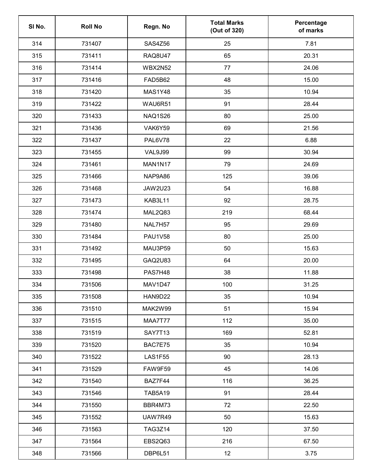| SI No. | <b>Roll No</b> | Regn. No       | <b>Total Marks</b><br>(Out of 320) | Percentage<br>of marks |
|--------|----------------|----------------|------------------------------------|------------------------|
| 314    | 731407         | SAS4Z56        | 25                                 | 7.81                   |
| 315    | 731411         | <b>RAQ8U47</b> | 65                                 | 20.31                  |
| 316    | 731414         | <b>WBX2N52</b> | 77                                 | 24.06                  |
| 317    | 731416         | <b>FAD5B62</b> | 48                                 | 15.00                  |
| 318    | 731420         | <b>MAS1Y48</b> | 35                                 | 10.94                  |
| 319    | 731422         | WAU6R51        | 91                                 | 28.44                  |
| 320    | 731433         | <b>NAQ1S26</b> | 80                                 | 25.00                  |
| 321    | 731436         | VAK6Y59        | 69                                 | 21.56                  |
| 322    | 731437         | PAL6V78        | 22                                 | 6.88                   |
| 323    | 731455         | <b>VAL9J99</b> | 99                                 | 30.94                  |
| 324    | 731461         | MAN1N17        | 79                                 | 24.69                  |
| 325    | 731466         | NAP9A86        | 125                                | 39.06                  |
| 326    | 731468         | <b>JAW2U23</b> | 54                                 | 16.88                  |
| 327    | 731473         | KAB3L11        | 92                                 | 28.75                  |
| 328    | 731474         | MAL2Q83        | 219                                | 68.44                  |
| 329    | 731480         | NAL7H57        | 95                                 | 29.69                  |
| 330    | 731484         | <b>PAU1V58</b> | 80                                 | 25.00                  |
| 331    | 731492         | MAU3P59        | 50                                 | 15.63                  |
| 332    | 731495         | GAQ2U83        | 64                                 | 20.00                  |
| 333    | 731498         | PAS7H48        | 38                                 | 11.88                  |
| 334    | 731506         | MAV1D47        | 100                                | 31.25                  |
| 335    | 731508         | HAN9D22        | 35                                 | 10.94                  |
| 336    | 731510         | MAK2W99        | 51                                 | 15.94                  |
| 337    | 731515         | MAA7T77        | 112                                | 35.00                  |
| 338    | 731519         | SAY7T13        | 169                                | 52.81                  |
| 339    | 731520         | BAC7E75        | 35                                 | 10.94                  |
| 340    | 731522         | <b>LAS1F55</b> | 90                                 | 28.13                  |
| 341    | 731529         | FAW9F59        | 45                                 | 14.06                  |
| 342    | 731540         | BAZ7F44        | 116                                | 36.25                  |
| 343    | 731546         | <b>TAB5A19</b> | 91                                 | 28.44                  |
| 344    | 731550         | BBR4M73        | 72                                 | 22.50                  |
| 345    | 731552         | <b>UAW7R49</b> | 50                                 | 15.63                  |
| 346    | 731563         | <b>TAG3Z14</b> | 120                                | 37.50                  |
| 347    | 731564         | EBS2Q63        | 216                                | 67.50                  |
| 348    | 731566         | DBP6L51        | 12                                 | 3.75                   |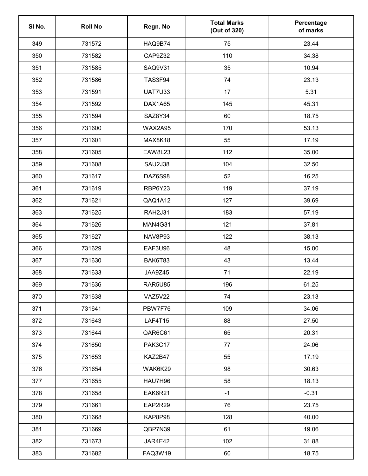| SI No. | <b>Roll No</b> | Regn. No       | <b>Total Marks</b><br>(Out of 320) | Percentage<br>of marks |
|--------|----------------|----------------|------------------------------------|------------------------|
| 349    | 731572         | HAQ9B74        | 75                                 | 23.44                  |
| 350    | 731582         | CAP9Z32        | 110                                | 34.38                  |
| 351    | 731585         | SAQ9V31        | 35                                 | 10.94                  |
| 352    | 731586         | TAS3F94        | 74                                 | 23.13                  |
| 353    | 731591         | <b>UAT7U33</b> | 17                                 | 5.31                   |
| 354    | 731592         | DAX1A65        | 145                                | 45.31                  |
| 355    | 731594         | SAZ8Y34        | 60                                 | 18.75                  |
| 356    | 731600         | <b>WAX2A95</b> | 170                                | 53.13                  |
| 357    | 731601         | MAX8K18        | 55                                 | 17.19                  |
| 358    | 731605         | <b>EAW8L23</b> | 112                                | 35.00                  |
| 359    | 731608         | <b>SAU2J38</b> | 104                                | 32.50                  |
| 360    | 731617         | DAZ6S98        | 52                                 | 16.25                  |
| 361    | 731619         | RBP6Y23        | 119                                | 37.19                  |
| 362    | 731621         | QAQ1A12        | 127                                | 39.69                  |
| 363    | 731625         | <b>RAH2J31</b> | 183                                | 57.19                  |
| 364    | 731626         | MAN4G31        | 121                                | 37.81                  |
| 365    | 731627         | NAV8P93        | 122                                | 38.13                  |
| 366    | 731629         | EAF3U96        | 48                                 | 15.00                  |
| 367    | 731630         | BAK6T83        | 43                                 | 13.44                  |
| 368    | 731633         | JAA9Z45        | 71                                 | 22.19                  |
| 369    | 731636         | <b>RAR5U85</b> | 196                                | 61.25                  |
| 370    | 731638         | VAZ5V22        | 74                                 | 23.13                  |
| 371    | 731641         | PBW7F76        | 109                                | 34.06                  |
| 372    | 731643         | <b>LAF4T15</b> | 88                                 | 27.50                  |
| 373    | 731644         | QAR6C61        | 65                                 | 20.31                  |
| 374    | 731650         | <b>PAK3C17</b> | 77                                 | 24.06                  |
| 375    | 731653         | KAZ2B47        | 55                                 | 17.19                  |
| 376    | 731654         | WAK6K29        | 98                                 | 30.63                  |
| 377    | 731655         | HAU7H96        | 58                                 | 18.13                  |
| 378    | 731658         | EAK6R21        | $-1$                               | $-0.31$                |
| 379    | 731661         | EAP2R29        | 76                                 | 23.75                  |
| 380    | 731668         | KAP8P98        | 128                                | 40.00                  |
| 381    | 731669         | QBP7N39        | 61                                 | 19.06                  |
| 382    | 731673         | JAR4E42        | 102                                | 31.88                  |
| 383    | 731682         | FAQ3W19        | 60                                 | 18.75                  |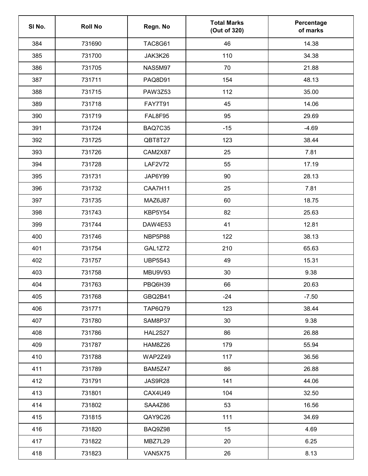| SI No. | <b>Roll No</b> | Regn. No       | <b>Total Marks</b><br>(Out of 320) | Percentage<br>of marks |
|--------|----------------|----------------|------------------------------------|------------------------|
| 384    | 731690         | <b>TAC8G61</b> | 46                                 | 14.38                  |
| 385    | 731700         | JAK3K26        | 110                                | 34.38                  |
| 386    | 731705         | <b>NAS5M97</b> | 70                                 | 21.88                  |
| 387    | 731711         | PAQ8D91        | 154                                | 48.13                  |
| 388    | 731715         | <b>PAW3Z53</b> | 112                                | 35.00                  |
| 389    | 731718         | <b>FAY7T91</b> | 45                                 | 14.06                  |
| 390    | 731719         | FAL8F95        | 95                                 | 29.69                  |
| 391    | 731724         | BAQ7C35        | $-15$                              | $-4.69$                |
| 392    | 731725         | QBT8T27        | 123                                | 38.44                  |
| 393    | 731726         | CAM2X87        | 25                                 | 7.81                   |
| 394    | 731728         | <b>LAF2V72</b> | 55                                 | 17.19                  |
| 395    | 731731         | JAP6Y99        | 90                                 | 28.13                  |
| 396    | 731732         | CAA7H11        | 25                                 | 7.81                   |
| 397    | 731735         | MAZ6J87        | 60                                 | 18.75                  |
| 398    | 731743         | KBP5Y54        | 82                                 | 25.63                  |
| 399    | 731744         | DAW4E53        | 41                                 | 12.81                  |
| 400    | 731746         | NBP5P88        | 122                                | 38.13                  |
| 401    | 731754         | <b>GAL1Z72</b> | 210                                | 65.63                  |
| 402    | 731757         | <b>UBP5S43</b> | 49                                 | 15.31                  |
| 403    | 731758         | MBU9V93        | 30                                 | 9.38                   |
| 404    | 731763         | PBQ6H39        | 66                                 | 20.63                  |
| 405    | 731768         | GBQ2B41        | $-24$                              | $-7.50$                |
| 406    | 731771         | <b>TAP6Q79</b> | 123                                | 38.44                  |
| 407    | 731780         | SAM8P37        | 30                                 | 9.38                   |
| 408    | 731786         | HAL2S27        | 86                                 | 26.88                  |
| 409    | 731787         | HAM8Z26        | 179                                | 55.94                  |
| 410    | 731788         | WAP2Z49        | 117                                | 36.56                  |
| 411    | 731789         | BAM5Z47        | 86                                 | 26.88                  |
| 412    | 731791         | JAS9R28        | 141                                | 44.06                  |
| 413    | 731801         | <b>CAX4U49</b> | 104                                | 32.50                  |
| 414    | 731802         | SAA4Z86        | 53                                 | 16.56                  |
| 415    | 731815         | QAY9C26        | 111                                | 34.69                  |
| 416    | 731820         | BAQ9Z98        | 15                                 | 4.69                   |
| 417    | 731822         | MBZ7L29        | 20                                 | 6.25                   |
| 418    | 731823         | VAN5X75        | 26                                 | 8.13                   |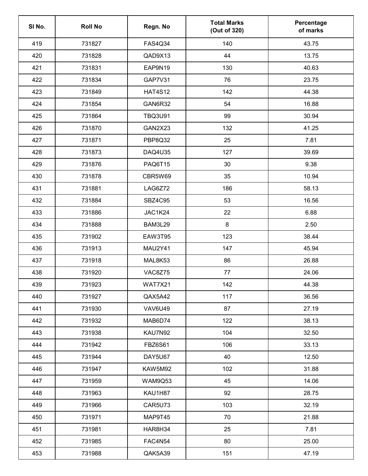| SI No. | <b>Roll No</b> | Regn. No       | <b>Total Marks</b><br>(Out of 320) | Percentage<br>of marks |
|--------|----------------|----------------|------------------------------------|------------------------|
| 419    | 731827         | <b>FAS4Q34</b> | 140                                | 43.75                  |
| 420    | 731828         | QAD9X13        | 44                                 | 13.75                  |
| 421    | 731831         | EAP9N19        | 130                                | 40.63                  |
| 422    | 731834         | GAP7V31        | 76                                 | 23.75                  |
| 423    | 731849         | <b>HAT4S12</b> | 142                                | 44.38                  |
| 424    | 731854         | GAN6R32        | 54                                 | 16.88                  |
| 425    | 731864         | <b>TBQ3U91</b> | 99                                 | 30.94                  |
| 426    | 731870         | GAN2X23        | 132                                | 41.25                  |
| 427    | 731871         | PBP8Q32        | 25                                 | 7.81                   |
| 428    | 731873         | DAQ4U35        | 127                                | 39.69                  |
| 429    | 731876         | PAQ6T15        | 30                                 | 9.38                   |
| 430    | 731878         | CBR5W69        | 35                                 | 10.94                  |
| 431    | 731881         | LAG6Z72        | 186                                | 58.13                  |
| 432    | 731884         | <b>SBZ4C95</b> | 53                                 | 16.56                  |
| 433    | 731886         | JAC1K24        | 22                                 | 6.88                   |
| 434    | 731888         | BAM3L29        | $\bf 8$                            | 2.50                   |
| 435    | 731902         | EAW3T95        | 123                                | 38.44                  |
| 436    | 731913         | MAU2Y41        | 147                                | 45.94                  |
| 437    | 731918         | MAL8K53        | 86                                 | 26.88                  |
| 438    | 731920         | VAC8Z75        | 77                                 | 24.06                  |
| 439    | 731923         | <b>WAT7X21</b> | 142                                | 44.38                  |
| 440    | 731927         | QAX5A42        | 117                                | 36.56                  |
| 441    | 731930         | VAV6U49        | 87                                 | 27.19                  |
| 442    | 731932         | MAB6D74        | 122                                | 38.13                  |
| 443    | 731938         | KAU7N92        | 104                                | 32.50                  |
| 444    | 731942         | FBZ6S61        | 106                                | 33.13                  |
| 445    | 731944         | DAY5U67        | 40                                 | 12.50                  |
| 446    | 731947         | KAW5M92        | 102                                | 31.88                  |
| 447    | 731959         | WAM9Q53        | 45                                 | 14.06                  |
| 448    | 731963         | KAU1H87        | 92                                 | 28.75                  |
| 449    | 731966         | CAR5U73        | 103                                | 32.19                  |
| 450    | 731971         | MAP9T45        | 70                                 | 21.88                  |
| 451    | 731981         | HAR8H34        | 25                                 | 7.81                   |
| 452    | 731985         | FAC4N54        | 80                                 | 25.00                  |
| 453    | 731988         | QAK5A39        | 151                                | 47.19                  |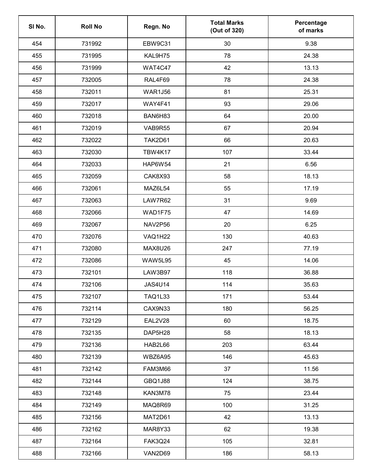| SI No. | <b>Roll No</b> | Regn. No       | <b>Total Marks</b><br>(Out of 320) | Percentage<br>of marks |
|--------|----------------|----------------|------------------------------------|------------------------|
| 454    | 731992         | <b>EBW9C31</b> | 30                                 | 9.38                   |
| 455    | 731995         | KAL9H75        | 78                                 | 24.38                  |
| 456    | 731999         | WAT4C47        | 42                                 | 13.13                  |
| 457    | 732005         | RAL4F69        | 78                                 | 24.38                  |
| 458    | 732011         | <b>WAR1J56</b> | 81                                 | 25.31                  |
| 459    | 732017         | WAY4F41        | 93                                 | 29.06                  |
| 460    | 732018         | BAN6H83        | 64                                 | 20.00                  |
| 461    | 732019         | VAB9R55        | 67                                 | 20.94                  |
| 462    | 732022         | TAK2D61        | 66                                 | 20.63                  |
| 463    | 732030         | <b>TBW4K17</b> | 107                                | 33.44                  |
| 464    | 732033         | <b>HAP6W54</b> | 21                                 | 6.56                   |
| 465    | 732059         | CAK8X93        | 58                                 | 18.13                  |
| 466    | 732061         | MAZ6L54        | 55                                 | 17.19                  |
| 467    | 732063         | LAW7R62        | 31                                 | 9.69                   |
| 468    | 732066         | WAD1F75        | 47                                 | 14.69                  |
| 469    | 732067         | NAV2P56        | 20                                 | 6.25                   |
| 470    | 732076         | VAQ1H22        | 130                                | 40.63                  |
| 471    | 732080         | MAX8U26        | 247                                | 77.19                  |
| 472    | 732086         | <b>WAW5L95</b> | 45                                 | 14.06                  |
| 473    | 732101         | LAW3B97        | 118                                | 36.88                  |
| 474    | 732106         | <b>JAS4U14</b> | 114                                | 35.63                  |
| 475    | 732107         | <b>TAQ1L33</b> | 171                                | 53.44                  |
| 476    | 732114         | CAX9N33        | 180                                | 56.25                  |
| 477    | 732129         | EAL2V28        | 60                                 | 18.75                  |
| 478    | 732135         | DAP5H28        | 58                                 | 18.13                  |
| 479    | 732136         | HAB2L66        | 203                                | 63.44                  |
| 480    | 732139         | WBZ6A95        | 146                                | 45.63                  |
| 481    | 732142         | FAM3M66        | 37                                 | 11.56                  |
| 482    | 732144         | <b>GBQ1J88</b> | 124                                | 38.75                  |
| 483    | 732148         | KAN3M78        | 75                                 | 23.44                  |
| 484    | 732149         | MAQ8R69        | 100                                | 31.25                  |
| 485    | 732156         | MAT2D61        | 42                                 | 13.13                  |
| 486    | 732162         | MAR8Y33        | 62                                 | 19.38                  |
| 487    | 732164         | <b>FAK3Q24</b> | 105                                | 32.81                  |
| 488    | 732166         | VAN2D69        | 186                                | 58.13                  |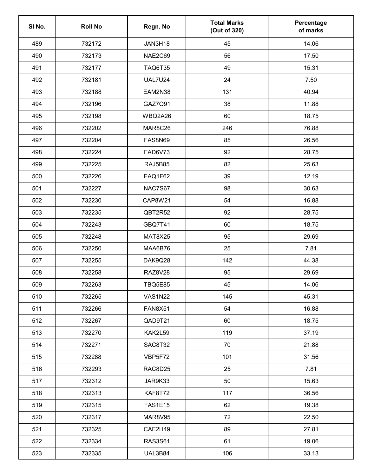| SI No. | <b>Roll No</b> | Regn. No       | <b>Total Marks</b><br>(Out of 320) | Percentage<br>of marks |
|--------|----------------|----------------|------------------------------------|------------------------|
| 489    | 732172         | JAN3H18        | 45                                 | 14.06                  |
| 490    | 732173         | NAE2C69        | 56                                 | 17.50                  |
| 491    | 732177         | <b>TAQ6T35</b> | 49                                 | 15.31                  |
| 492    | 732181         | <b>UAL7U24</b> | 24                                 | 7.50                   |
| 493    | 732188         | EAM2N38        | 131                                | 40.94                  |
| 494    | 732196         | GAZ7Q91        | 38                                 | 11.88                  |
| 495    | 732198         | WBQ2A26        | 60                                 | 18.75                  |
| 496    | 732202         | MAR8C26        | 246                                | 76.88                  |
| 497    | 732204         | <b>FAS8N69</b> | 85                                 | 26.56                  |
| 498    | 732224         | FAD6V73        | 92                                 | 28.75                  |
| 499    | 732225         | <b>RAJ5B85</b> | 82                                 | 25.63                  |
| 500    | 732226         | FAQ1F62        | 39                                 | 12.19                  |
| 501    | 732227         | <b>NAC7S67</b> | 98                                 | 30.63                  |
| 502    | 732230         | <b>CAP8W21</b> | 54                                 | 16.88                  |
| 503    | 732235         | QBT2R52        | 92                                 | 28.75                  |
| 504    | 732243         | GBQ7T41        | 60                                 | 18.75                  |
| 505    | 732248         | MAT8X25        | 95                                 | 29.69                  |
| 506    | 732250         | MAA6B76        | 25                                 | 7.81                   |
| 507    | 732255         | DAK9Q28        | 142                                | 44.38                  |
| 508    | 732258         | <b>RAZ8V28</b> | 95                                 | 29.69                  |
| 509    | 732263         | <b>TBQ5E85</b> | 45                                 | 14.06                  |
| 510    | 732265         | <b>VAS1N22</b> | 145                                | 45.31                  |
| 511    | 732266         | <b>FAN8X51</b> | 54                                 | 16.88                  |
| 512    | 732267         | QAD9T21        | 60                                 | 18.75                  |
| 513    | 732270         | KAK2L59        | 119                                | 37.19                  |
| 514    | 732271         | SAC8T32        | 70                                 | 21.88                  |
| 515    | 732288         | VBP5F72        | 101                                | 31.56                  |
| 516    | 732293         | RAC8D25        | 25                                 | 7.81                   |
| 517    | 732312         | JAR9K33        | 50                                 | 15.63                  |
| 518    | 732313         | <b>KAF8T72</b> | 117                                | 36.56                  |
| 519    | 732315         | <b>FAS1E15</b> | 62                                 | 19.38                  |
| 520    | 732317         | MAR8V95        | 72                                 | 22.50                  |
| 521    | 732325         | CAE2H49        | 89                                 | 27.81                  |
| 522    | 732334         | <b>RAS3S61</b> | 61                                 | 19.06                  |
| 523    | 732335         | UAL3B84        | 106                                | 33.13                  |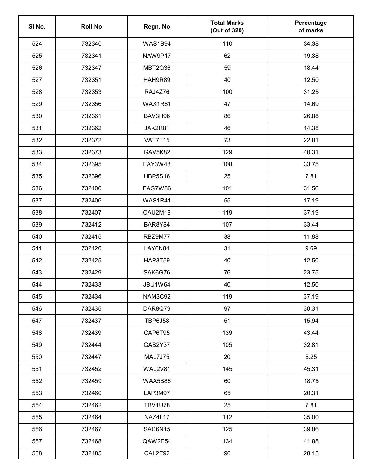| SI No. | <b>Roll No</b> | Regn. No       | <b>Total Marks</b><br>(Out of 320) | Percentage<br>of marks |
|--------|----------------|----------------|------------------------------------|------------------------|
| 524    | 732340         | <b>WAS1B94</b> | 110                                | 34.38                  |
| 525    | 732341         | NAW9P17        | 62                                 | 19.38                  |
| 526    | 732347         | MBT2Q36        | 59                                 | 18.44                  |
| 527    | 732351         | HAH9R89        | 40                                 | 12.50                  |
| 528    | 732353         | RAJ4Z76        | 100                                | 31.25                  |
| 529    | 732356         | <b>WAX1R81</b> | 47                                 | 14.69                  |
| 530    | 732361         | BAV3H96        | 86                                 | 26.88                  |
| 531    | 732362         | JAK2R81        | 46                                 | 14.38                  |
| 532    | 732372         | <b>VAT7T15</b> | 73                                 | 22.81                  |
| 533    | 732373         | GAV5K82        | 129                                | 40.31                  |
| 534    | 732395         | FAY3W48        | 108                                | 33.75                  |
| 535    | 732396         | <b>UBP5S16</b> | 25                                 | 7.81                   |
| 536    | 732400         | FAG7W86        | 101                                | 31.56                  |
| 537    | 732406         | <b>WAS1R41</b> | 55                                 | 17.19                  |
| 538    | 732407         | CAU2M18        | 119                                | 37.19                  |
| 539    | 732412         | BAR8Y84        | 107                                | 33.44                  |
| 540    | 732415         | RBZ9M77        | 38                                 | 11.88                  |
| 541    | 732420         | LAY6N84        | 31                                 | 9.69                   |
| 542    | 732425         | <b>HAP3T59</b> | 40                                 | 12.50                  |
| 543    | 732429         | SAK6G76        | 76                                 | 23.75                  |
| 544    | 732433         | JBU1W64        | 40                                 | 12.50                  |
| 545    | 732434         | NAM3C92        | 119                                | 37.19                  |
| 546    | 732435         | DAR8Q79        | 97                                 | 30.31                  |
| 547    | 732437         | <b>TBP6J58</b> | 51                                 | 15.94                  |
| 548    | 732439         | CAP6T95        | 139                                | 43.44                  |
| 549    | 732444         | GAB2Y37        | 105                                | 32.81                  |
| 550    | 732447         | MAL7J75        | 20                                 | 6.25                   |
| 551    | 732452         | WAL2V81        | 145                                | 45.31                  |
| 552    | 732459         | WAA5B86        | 60                                 | 18.75                  |
| 553    | 732460         | LAP3M97        | 65                                 | 20.31                  |
| 554    | 732462         | <b>TBV1U78</b> | 25                                 | 7.81                   |
| 555    | 732464         | NAZ4L17        | 112                                | 35.00                  |
| 556    | 732467         | SAC6N15        | 125                                | 39.06                  |
| 557    | 732468         | QAW2E54        | 134                                | 41.88                  |
| 558    | 732485         | CAL2E92        | 90                                 | 28.13                  |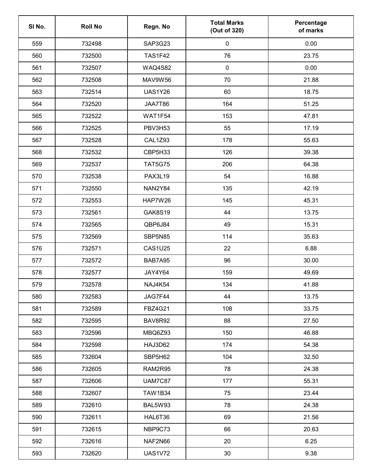| SI No. | <b>Roll No</b> | Regn. No       | <b>Total Marks</b><br>(Out of 320) | Percentage<br>of marks |
|--------|----------------|----------------|------------------------------------|------------------------|
| 559    | 732498         | SAP3G23        | $\pmb{0}$                          | 0.00                   |
| 560    | 732500         | <b>TAS1F42</b> | 76                                 | 23.75                  |
| 561    | 732507         | <b>WAQ4S82</b> | $\pmb{0}$                          | 0.00                   |
| 562    | 732508         | MAV9W56        | 70                                 | 21.88                  |
| 563    | 732514         | <b>UAS1Y26</b> | 60                                 | 18.75                  |
| 564    | 732520         | JAA7T86        | 164                                | 51.25                  |
| 565    | 732522         | WAT1F54        | 153                                | 47.81                  |
| 566    | 732525         | PBV3H53        | 55                                 | 17.19                  |
| 567    | 732528         | <b>CAL1Z93</b> | 178                                | 55.63                  |
| 568    | 732532         | CBP5H33        | 126                                | 39.38                  |
| 569    | 732537         | <b>TAT5G75</b> | 206                                | 64.38                  |
| 570    | 732538         | <b>PAX3L19</b> | 54                                 | 16.88                  |
| 571    | 732550         | <b>NAN2Y84</b> | 135                                | 42.19                  |
| 572    | 732553         | HAP7W26        | 145                                | 45.31                  |
| 573    | 732561         | GAK8S19        | 44                                 | 13.75                  |
| 574    | 732565         | QBP6J84        | 49                                 | 15.31                  |
| 575    | 732569         | SBP5N85        | 114                                | 35.63                  |
| 576    | 732571         | <b>CAS1U25</b> | 22                                 | 6.88                   |
| 577    | 732572         | BAB7A95        | 96                                 | 30.00                  |
| 578    | 732577         | JAY4Y64        | 159                                | 49.69                  |
| 579    | 732578         | NAJ4K54        | 134                                | 41.88                  |
| 580    | 732583         | JAG7F44        | 44                                 | 13.75                  |
| 581    | 732589         | <b>FBZ4G21</b> | 108                                | 33.75                  |
| 582    | 732595         | BAV8R92        | 88                                 | 27.50                  |
| 583    | 732596         | MBQ6Z93        | 150                                | 46.88                  |
| 584    | 732598         | HAJ3D62        | 174                                | 54.38                  |
| 585    | 732604         | SBP5H62        | 104                                | 32.50                  |
| 586    | 732605         | RAM2R95        | 78                                 | 24.38                  |
| 587    | 732606         | <b>UAM7C87</b> | 177                                | 55.31                  |
| 588    | 732607         | <b>TAW1B34</b> | 75                                 | 23.44                  |
| 589    | 732610         | BAL5W93        | 78                                 | 24.38                  |
| 590    | 732611         | HAL6T36        | 69                                 | 21.56                  |
| 591    | 732615         | NBP9C73        | 66                                 | 20.63                  |
| 592    | 732616         | NAF2N66        | 20                                 | 6.25                   |
| 593    | 732620         | <b>UAS1V72</b> | $30\,$                             | 9.38                   |